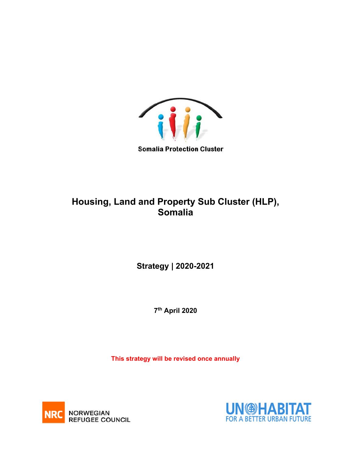

**Somalia Protection Cluster** 

# **Housing, Land and Property Sub Cluster (HLP), Somalia**

**Strategy | 2020-2021** 

 **7th April 2020** 

**This strategy will be revised once annually** 



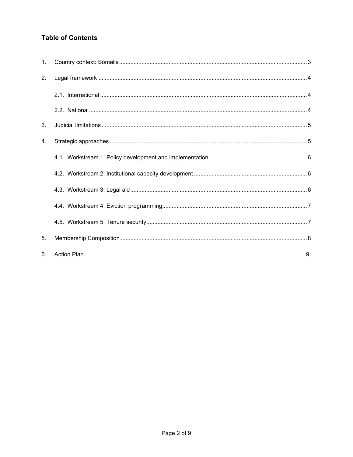## **Table of Contents**

| 1. |                         |
|----|-------------------------|
| 2. |                         |
|    |                         |
|    |                         |
| 3. |                         |
| 4. |                         |
|    |                         |
|    |                         |
|    |                         |
|    |                         |
|    |                         |
| 5. |                         |
| 6. | <b>Action Plan</b><br>9 |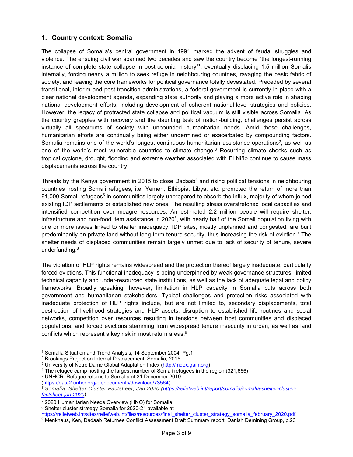## **1. Country context: Somalia**

The collapse of Somalia's central government in 1991 marked the advent of feudal struggles and violence. The ensuing civil war spanned two decades and saw the country become "the longest-running instance of complete state collapse in post-colonial history"1, eventually displacing 1.5 million Somalis internally, forcing nearly a million to seek refuge in neighbouring countries, ravaging the basic fabric of society, and leaving the core frameworks for political governance totally devastated. Preceded by several transitional, interim and post-transition administrations, a federal government is currently in place with a clear national development agenda, expanding state authority and playing a more active role in shaping national development efforts, including development of coherent national-level strategies and policies. However, the legacy of protracted state collapse and political vacuum is still visible across Somalia. As the country grapples with recovery and the daunting task of nation-building, challenges persist across virtually all spectrums of society with unbounded humanitarian needs. Amid these challenges, humanitarian efforts are continually being either undermined or exacerbated by compounding factors. Somalia remains one of the world's longest continuous humanitarian assistance operations<sup>2</sup>, as well as one of the world's most vulnerable countries to climate change.<sup>3</sup> Recurring climate shocks such as tropical cyclone, drought, flooding and extreme weather associated with El Niño continue to cause mass displacements across the country.

Threats by the Kenya government in 2015 to close Dadaab<sup>4</sup> and rising political tensions in neighbouring countries hosting Somali refugees, i.e. Yemen, Ethiopia, Libya, etc. prompted the return of more than 91,000 Somali refugees<sup>5</sup> in communities largely unprepared to absorb the influx, majority of whom joined existing IDP settlements or established new ones. The resulting stress overstretched local capacities and intensified competition over meagre resources. An estimated 2.2 million people will require shelter, infrastructure and non-food item assistance in  $2020<sup>6</sup>$ , with nearly half of the Somali population living with one or more issues linked to shelter inadequacy. IDP sites, mostly unplanned and congested, are built predominantly on private land without long-term tenure security, thus increasing the risk of eviction.7 The shelter needs of displaced communities remain largely unmet due to lack of security of tenure, severe underfunding.<sup>8</sup>

The violation of HLP rights remains widespread and the protection thereof largely inadequate, particularly forced evictions. This functional inadequacy is being underpinned by weak governance structures, limited technical capacity and under-resourced state institutions, as well as the lack of adequate legal and policy frameworks. Broadly speaking, however, limitation in HLP capacity in Somalia cuts across both government and humanitarian stakeholders. Typical challenges and protection risks associated with inadequate protection of HLP rights include, but are not limited to, secondary displacements, total destruction of livelihood strategies and HLP assets, disruption to established life routines and social networks, competition over resources resulting in tensions between host communities and displaced populations, and forced evictions stemming from widespread tenure insecurity in urban, as well as land conflicts which represent a key risk in most return areas.<sup>9</sup>

<sup>&</sup>lt;sup>1</sup> Somalia Situation and Trend Analysis, 14 September 2004, Pg.1<br>
<sup>2</sup> Brookings Project on Internal Displacement, Somalia, 2015<br>
<sup>3</sup> University of Notre Dame Global Adaptation Index (http://index.gain.org)<br>
<sup>4</sup> The refuge

<sup>(</sup>https://data2.unhcr.org/en/documents/download/73564) *<sup>6</sup> Somalia: Shelter Cluster Factsheet, Jan 2020 (https://reliefweb.int/report/somalia/somalia-shelter-clusterfactsheet-jan-2020)*

<sup>7 2020</sup> Humanitarian Needs Overview (HNO) for Somalia

<sup>&</sup>lt;sup>8</sup> Shelter cluster strategy Somalia for 2020-21 available at<br>https://reliefweb.int/sites/reliefweb.int/files/resources/final shelter cluster strategy somalia february 2020.pdf ntelief<br><sup>9</sup> Menkhaus, Ken, Dadaab Returnee Conflict Assessment Draft Summary report, Danish Demining Group, p.23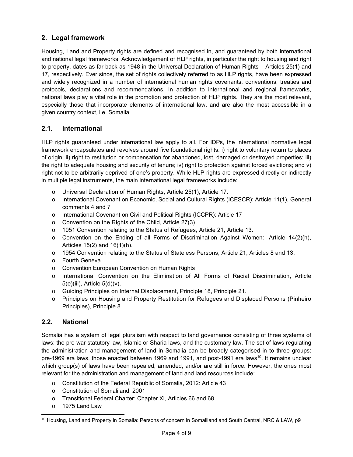## **2. Legal framework**

Housing, Land and Property rights are defined and recognised in, and guaranteed by both international and national legal frameworks. Acknowledgement of HLP rights, in particular the right to housing and right to property, dates as far back as 1948 in the Universal Declaration of Human Rights – Articles 25(1) and 17, respectively. Ever since, the set of rights collectively referred to as HLP rights, have been expressed and widely recognized in a number of international human rights covenants, conventions, treaties and protocols, declarations and recommendations. In addition to international and regional frameworks, national laws play a vital role in the promotion and protection of HLP rights. They are the most relevant, especially those that incorporate elements of international law, and are also the most accessible in a given country context, i.e. Somalia.

## **2.1. International**

HLP rights guaranteed under international law apply to all. For IDPs, the international normative legal framework encapsulates and revolves around five foundational rights: i) right to voluntary return to places of origin; ii) right to restitution or compensation for abandoned, lost, damaged or destroyed properties; iii) the right to adequate housing and security of tenure; iv) right to protection against forced evictions; and v) right not to be arbitrarily deprived of one's property. While HLP rights are expressed directly or indirectly in multiple legal instruments, the main international legal frameworks include:

- o Universal Declaration of Human Rights, Article 25(1), Article 17.
- o International Covenant on Economic, Social and Cultural Rights (ICESCR): Article 11(1), General comments 4 and 7
- o International Covenant on Civil and Political Rights (ICCPR): Article 17
- o Convention on the Rights of the Child, Article 27(3)
- o 1951 Convention relating to the Status of Refugees, Article 21, Article 13.
- $\circ$  Convention on the Ending of all Forms of Discrimination Against Women: Article 14(2)(h), Articles 15(2) and 16(1)(h).
- o 1954 Convention relating to the Status of Stateless Persons, Article 21, Articles 8 and 13.
- o Fourth Geneva
- o Convention European Convention on Human Rights
- o International Convention on the Elimination of All Forms of Racial Discrimination, Article  $5(e)$ (iii), Article  $5(d)$ (v).
- o Guiding Principles on Internal Displacement, Principle 18, Principle 21.
- o Principles on Housing and Property Restitution for Refugees and Displaced Persons (Pinheiro Principles), Principle 8

## **2.2. National**

Somalia has a system of legal pluralism with respect to land governance consisting of three systems of laws: the pre-war statutory law, Islamic or Sharia laws, and the customary law. The set of laws regulating the administration and management of land in Somalia can be broadly categorised in to three groups: pre-1969 era laws, those enacted between 1969 and 1991, and post-1991 era laws<sup>10</sup>. It remains unclear which group(s) of laws have been repealed, amended, and/or are still in force. However, the ones most relevant for the administration and management of land and land resources include:

- o Constitution of the Federal Republic of Somalia, 2012: Article 43
- o Constitution of Somaliland, 2001
- o Transitional Federal Charter: Chapter XI, Articles 66 and 68
- o 1975 Land Law

<sup>&</sup>lt;sup>10</sup> Housing, Land and Property in Somalia: Persons of concern in Somaliland and South Central, NRC & LAW, p9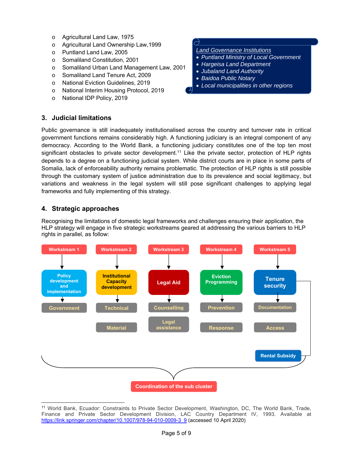- o Agricultural Land Law, 1975
- o Agricultural Land Ownership Law,1999
- o Puntland Land Law, 2005
- o Somaliland Constitution, 2001
- o Somaliland Urban Land Management Law, 2001
- o Somaliland Land Tenure Act, 2009
- o National Eviction Guidelines, 2019
- o National Interim Housing Protocol, 2019
- o National IDP Policy, 2019

## **3. Judicial limitations**

## *Land Governance Institutions*

- *Puntland Ministry of Local Government*
- *Hargeisa Land Department*
- *Jubaland Land Authority*
- *Baidoa Public Notary*
- *Local municipalities in other regions*

Public governance is still inadequately institutionalised across the country and turnover rate in critical government functions remains considerably high. A functioning judiciary is an integral component of any democracy. According to the World Bank, a functioning judiciary constitutes one of the top ten most significant obstacles to private sector development.<sup>11</sup> Like the private sector, protection of HLP rights depends to a degree on a functioning judicial system. While district courts are in place in some parts of Somalia, lack of enforceability authority remains problematic. The protection of HLP rights is still possible through the customary system of justice administration due to its prevalence and social legitimacy, but variations and weakness in the legal system will still pose significant challenges to applying legal frameworks and fully implementing of this strategy.

## **4. Strategic approaches**

Recognising the limitations of domestic legal frameworks and challenges ensuring their application, the HLP strategy will engage in five strategic workstreams geared at addressing the various barriers to HLP rights in parallel, as follow:



<sup>&</sup>lt;sup>11</sup> World Bank, Ecuador: Constraints to Private Sector Development, Washington, DC, The World Bank, Trade, Finance and Private Sector Development Division, LAC Country Department IV, 1993. Available at https://link.springer.com/chapter/10.1007/978-94-010-0009-3\_9 (accessed 10 April 2020)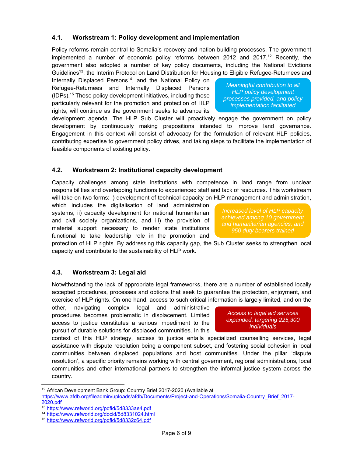## **4.1. Workstream 1: Policy development and implementation**

Policy reforms remain central to Somalia's recovery and nation building processes. The government implemented a number of economic policy reforms between 2012 and 2017.<sup>12</sup> Recently, the government also adopted a number of key policy documents, including the National Evictions Guidelines<sup>13</sup>, the Interim Protocol on Land Distribution for Housing to Eligible Refugee-Returnees and

Internally Displaced Persons<sup>14</sup>, and the National Policy on Refugee-Returnees and Internally Displaced Persons (IDPs).15 These policy development initiatives, including those particularly relevant for the promotion and protection of HLP rights, will continue as the government seeks to advance its

development agenda. The HLP Sub Cluster will proactively engage the government on policy development by continuously making prepositions intended to improve land governance. Engagement in this context will consist of advocacy for the formulation of relevant HLP policies, contributing expertise to government policy drives, and taking steps to facilitate the implementation of feasible components of existing policy.

## **4.2. Workstream 2: Institutional capacity development**

Capacity challenges among state institutions with competence in land range from unclear responsibilities and overlapping functions to experienced staff and lack of resources. This workstream will take on two forms: i) development of technical capacity on HLP management and administration,

which includes the digitalisation of land administration systems, ii) capacity development for national humanitarian and civil society organizations, and iii) the provision of material support necessary to render state institutions functional to take leadership role in the promotion and

protection of HLP rights. By addressing this capacity gap, the Sub Cluster seeks to strengthen local capacity and contribute to the sustainability of HLP work.

## **4.3. Workstream 3: Legal aid**

Notwithstanding the lack of appropriate legal frameworks, there are a number of established locally accepted procedures, processes and options that seek to guarantee the protection, enjoyment, and exercise of HLP rights. On one hand, access to such critical information is largely limited, and on the

other, navigating complex legal and administrative procedures becomes problematic in displacement. Limited access to justice constitutes a serious impediment to the pursuit of durable solutions for displaced communities. In this

context of this HLP strategy, access to justice entails specialized counselling services, legal assistance with dispute resolution being a component subset, and fostering social cohesion in local communities between displaced populations and host communities. Under the pillar 'dispute resolution', a specific priority remains working with central government, regional administrations, local communities and other international partners to strengthen the informal justice system across the country.

*Meaningful contribution to all HLP policy development processes provided, and policy implementation facilitated*

*Increased level of HLP capacity achieved among 10 government and humanitarian agencies; and 950 duty bearers trained*

*Access to legal aid services expanded, targeting 225,300 individuals* 

<sup>&</sup>lt;sup>12</sup> African Development Bank Group: Country Brief 2017-2020 (Available at https://www.afdb.org/fileadmin/uploads/afdb/Documents/Project-and-Operations/Somalia-Country\_Brief\_2017- 2020.pdf

<sup>13</sup> https://www.refworld.org/pdfid/5d8333ae4.pdf

<sup>14</sup> https://www.refworld.org/docid/5d8331024.html

<sup>15</sup> https://www.refworld.org/pdfid/5d8332c64.pdf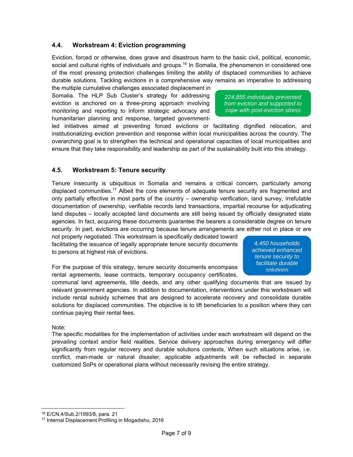## **4.4. Workstream 4: Eviction programming**

Eviction, forced or otherwise, does grave and disastrous harm to the basic civil, political, economic, social and cultural rights of individuals and groups.<sup>16</sup> In Somalia, the phenomenon in considered one of the most pressing protection challenges limiting the ability of displaced communities to achieve durable solutions. Tackling evictions in a comprehensive way remains an imperative to addressing

the multiple cumulative challenges associated displacement in Somalia. The HLP Sub Cluster's strategy for addressing eviction is anchored on a three-prong approach involving monitoring and reporting to inform strategic advocacy and humanitarian planning and response, targeted government-

*224,855 individuals prevented from eviction and supported to cope with post-eviction stress*

led initiatives aimed at preventing forced evictions or facilitating dignified relocation, and institutionalizing eviction prevention and response within local municipalities across the country. The overarching goal is to strengthen the technical and operational capacities of local municipalities and ensure that they take responsibility and leadership as part of the sustainability built into this strategy.

#### **4.5. Workstream 5: Tenure security**

Tenure insecurity is ubiquitous in Somalia and remains a critical concern, particularly among displaced communities.<sup>17</sup> Albeit the core elements of adequate tenure security are fragmented and only partially effective in most parts of the country – ownership verification, land survey, irrefutable documentation of ownership, verifiable records land transactions, impartial recourse for adjudicating land disputes – locally accepted land documents are still being issued by officially designated state agencies. In fact, acquiring these documents guarantee the bearers a considerable degree on tenure security. In part, evictions are occurring because tenure arrangements are either not in place or are

not properly negotiated. This workstream is specifically dedicated toward facilitating the issuance of legally appropriate tenure security documents to persons at highest risk of evictions.

For the purpose of this strategy, tenure security documents encompass rental agreements, lease contracts, temporary occupancy certificates,

*4,450 households achieved enhanced tenure security to facilitate durable solutions*

communal land agreements, title deeds, and any other qualifying documents that are issued by relevant government agencies. In addition to documentation, interventions under this workstream will include rental subsidy schemes that are designed to accelerate recovery and consolidate durable solutions for displaced communities. The objective is to lift beneficiaries to a position where they can continue paying their rental fees.

#### Note:

The specific modalities for the implementation of activities under each workstream will depend on the prevailing context and/or field realities. Service delivery approaches during emergency will differ significantly from regular recovery and durable solutions contexts. When such situations arise, i.e. conflict, man-made or natural disaster, applicable adjustments will be reflected in separate customized SoPs or operational plans without necessarily revising the entire strategy.

 $16$  E/CN.4/Sub.2/1993/8, para. 21<br> $17$  Internal Displacement Profiling in Mogadishu, 2016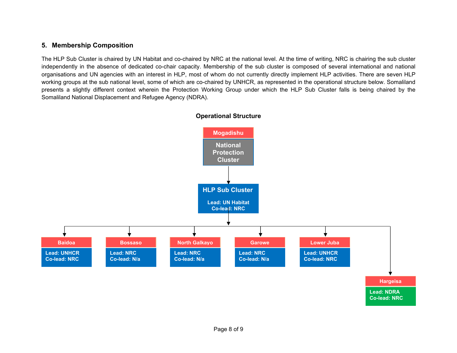## **5. Membership Composition**

The HLP Sub Cluster is chaired by UN Habitat and co-chaired by NRC at the national level. At the time of writing, NRC is chairing the sub cluster independently in the absence of dedicated co-chair capacity. Membership of the sub cluster is composed of several international and national organisations and UN agencies with an interest in HLP, most of whom do not currently directly implement HLP activities. There are seven HLP working groups at the sub national level, some of which are co-chaired by UNHCR, as represented in the operational structure below. Somaliland presents a slightly different context wherein the Protection Working Group under which the HLP Sub Cluster falls is being chaired by the Somaliland National Displacement and Refugee Agency (NDRA).



## **Operational Structure**